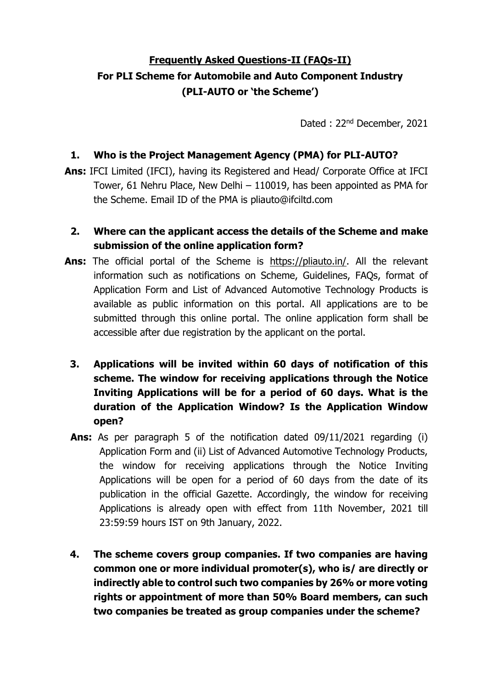# **Frequently Asked Questions-II (FAQs-II) For PLI Scheme for Automobile and Auto Component Industry (PLI-AUTO or 'the Scheme')**

Dated : 22nd December, 2021

#### **1. Who is the Project Management Agency (PMA) for PLI-AUTO?**

**Ans:** IFCI Limited (IFCI), having its Registered and Head/ Corporate Office at IFCI Tower, 61 Nehru Place, New Delhi – 110019, has been appointed as PMA for the Scheme. Email ID of the PMA is pliauto@ifciltd.com

## **2. Where can the applicant access the details of the Scheme and make submission of the online application form?**

- **Ans:** The official portal of the Scheme is [https://pliauto.in/.](https://pliauto.in/) All the relevant information such as notifications on Scheme, Guidelines, FAQs, format of Application Form and List of Advanced Automotive Technology Products is available as public information on this portal. All applications are to be submitted through this online portal. The online application form shall be accessible after due registration by the applicant on the portal.
	- **3. Applications will be invited within 60 days of notification of this scheme. The window for receiving applications through the Notice Inviting Applications will be for a period of 60 days. What is the duration of the Application Window? Is the Application Window open?**
	- **Ans:** As per paragraph 5 of the notification dated 09/11/2021 regarding (i) Application Form and (ii) List of Advanced Automotive Technology Products, the window for receiving applications through the Notice Inviting Applications will be open for a period of 60 days from the date of its publication in the official Gazette. Accordingly, the window for receiving Applications is already open with effect from 11th November, 2021 till 23:59:59 hours IST on 9th January, 2022.
	- **4. The scheme covers group companies. If two companies are having common one or more individual promoter(s), who is/ are directly or indirectly able to control such two companies by 26% or more voting rights or appointment of more than 50% Board members, can such two companies be treated as group companies under the scheme?**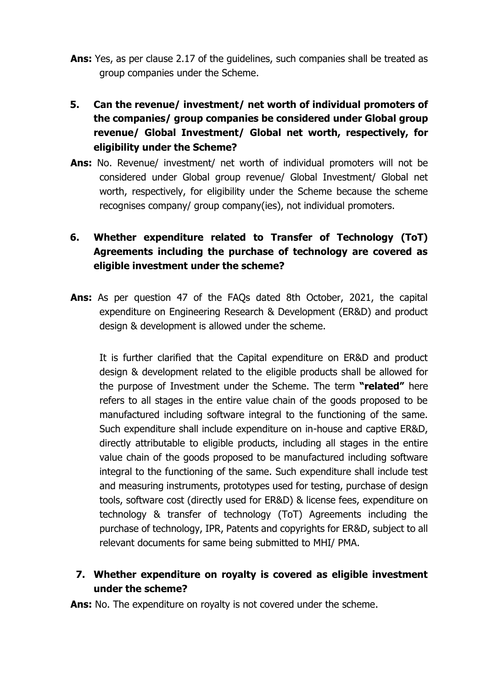- **Ans:** Yes, as per clause 2.17 of the guidelines, such companies shall be treated as group companies under the Scheme.
- **5. Can the revenue/ investment/ net worth of individual promoters of the companies/ group companies be considered under Global group revenue/ Global Investment/ Global net worth, respectively, for eligibility under the Scheme?**
- **Ans:** No. Revenue/ investment/ net worth of individual promoters will not be considered under Global group revenue/ Global Investment/ Global net worth, respectively, for eligibility under the Scheme because the scheme recognises company/ group company(ies), not individual promoters.

# **6. Whether expenditure related to Transfer of Technology (ToT) Agreements including the purchase of technology are covered as eligible investment under the scheme?**

**Ans:** As per question 47 of the FAQs dated 8th October, 2021, the capital expenditure on Engineering Research & Development (ER&D) and product design & development is allowed under the scheme.

It is further clarified that the Capital expenditure on ER&D and product design & development related to the eligible products shall be allowed for the purpose of Investment under the Scheme. The term **"related"** here refers to all stages in the entire value chain of the goods proposed to be manufactured including software integral to the functioning of the same. Such expenditure shall include expenditure on in-house and captive ER&D, directly attributable to eligible products, including all stages in the entire value chain of the goods proposed to be manufactured including software integral to the functioning of the same. Such expenditure shall include test and measuring instruments, prototypes used for testing, purchase of design tools, software cost (directly used for ER&D) & license fees, expenditure on technology & transfer of technology (ToT) Agreements including the purchase of technology, IPR, Patents and copyrights for ER&D, subject to all relevant documents for same being submitted to MHI/ PMA.

## **7. Whether expenditure on royalty is covered as eligible investment under the scheme?**

**Ans:** No. The expenditure on royalty is not covered under the scheme.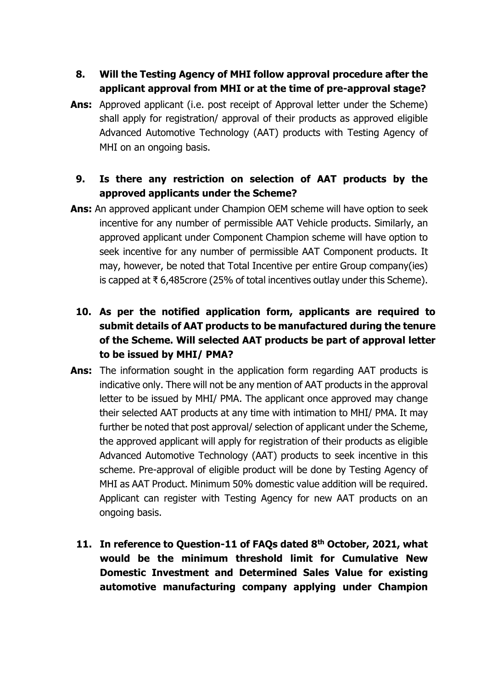# **8. Will the Testing Agency of MHI follow approval procedure after the applicant approval from MHI or at the time of pre-approval stage?**

**Ans:** Approved applicant (i.e. post receipt of Approval letter under the Scheme) shall apply for registration/ approval of their products as approved eligible Advanced Automotive Technology (AAT) products with Testing Agency of MHI on an ongoing basis.

# **9. Is there any restriction on selection of AAT products by the approved applicants under the Scheme?**

- **Ans:** An approved applicant under Champion OEM scheme will have option to seek incentive for any number of permissible AAT Vehicle products. Similarly, an approved applicant under Component Champion scheme will have option to seek incentive for any number of permissible AAT Component products. It may, however, be noted that Total Incentive per entire Group company(ies) is capped at ₹ 6,485crore (25% of total incentives outlay under this Scheme).
	- **10. As per the notified application form, applicants are required to submit details of AAT products to be manufactured during the tenure of the Scheme. Will selected AAT products be part of approval letter to be issued by MHI/ PMA?**
- **Ans:** The information sought in the application form regarding AAT products is indicative only. There will not be any mention of AAT products in the approval letter to be issued by MHI/ PMA. The applicant once approved may change their selected AAT products at any time with intimation to MHI/ PMA. It may further be noted that post approval/ selection of applicant under the Scheme, the approved applicant will apply for registration of their products as eligible Advanced Automotive Technology (AAT) products to seek incentive in this scheme. Pre-approval of eligible product will be done by Testing Agency of MHI as AAT Product. Minimum 50% domestic value addition will be required. Applicant can register with Testing Agency for new AAT products on an ongoing basis.
	- **11. In reference to Question-11 of FAQs dated 8th October, 2021, what would be the minimum threshold limit for Cumulative New Domestic Investment and Determined Sales Value for existing automotive manufacturing company applying under Champion**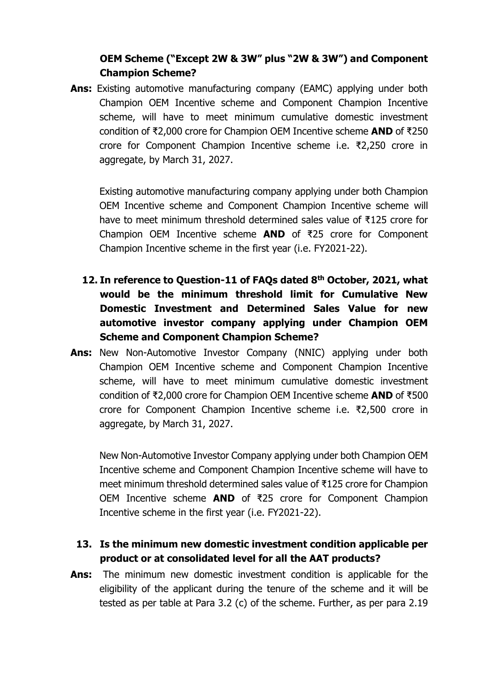## **OEM Scheme ("Except 2W & 3W" plus "2W & 3W") and Component Champion Scheme?**

**Ans:** Existing automotive manufacturing company (EAMC) applying under both Champion OEM Incentive scheme and Component Champion Incentive scheme, will have to meet minimum cumulative domestic investment condition of ₹2,000 crore for Champion OEM Incentive scheme **AND** of ₹250 crore for Component Champion Incentive scheme i.e. ₹2,250 crore in aggregate, by March 31, 2027.

Existing automotive manufacturing company applying under both Champion OEM Incentive scheme and Component Champion Incentive scheme will have to meet minimum threshold determined sales value of ₹125 crore for Champion OEM Incentive scheme **AND** of ₹25 crore for Component Champion Incentive scheme in the first year (i.e. FY2021-22).

- **12. In reference to Question-11 of FAQs dated 8th October, 2021, what would be the minimum threshold limit for Cumulative New Domestic Investment and Determined Sales Value for new automotive investor company applying under Champion OEM Scheme and Component Champion Scheme?**
- **Ans:** New Non-Automotive Investor Company (NNIC) applying under both Champion OEM Incentive scheme and Component Champion Incentive scheme, will have to meet minimum cumulative domestic investment condition of ₹2,000 crore for Champion OEM Incentive scheme **AND** of ₹500 crore for Component Champion Incentive scheme i.e. ₹2,500 crore in aggregate, by March 31, 2027.

New Non-Automotive Investor Company applying under both Champion OEM Incentive scheme and Component Champion Incentive scheme will have to meet minimum threshold determined sales value of ₹125 crore for Champion OEM Incentive scheme **AND** of ₹25 crore for Component Champion Incentive scheme in the first year (i.e. FY2021-22).

- **13. Is the minimum new domestic investment condition applicable per product or at consolidated level for all the AAT products?**
- **Ans:** The minimum new domestic investment condition is applicable for the eligibility of the applicant during the tenure of the scheme and it will be tested as per table at Para 3.2 (c) of the scheme. Further, as per para 2.19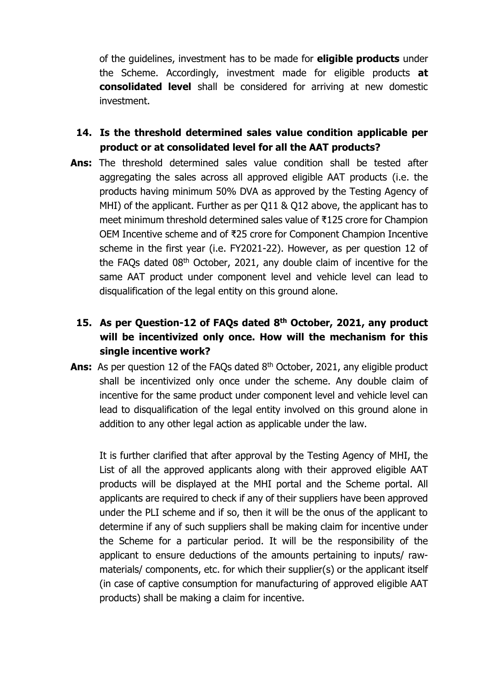of the guidelines, investment has to be made for **eligible products** under the Scheme. Accordingly, investment made for eligible products **at consolidated level** shall be considered for arriving at new domestic investment.

- **14. Is the threshold determined sales value condition applicable per product or at consolidated level for all the AAT products?**
- **Ans:** The threshold determined sales value condition shall be tested after aggregating the sales across all approved eligible AAT products (i.e. the products having minimum 50% DVA as approved by the Testing Agency of MHI) of the applicant. Further as per Q11 & Q12 above, the applicant has to meet minimum threshold determined sales value of ₹125 crore for Champion OEM Incentive scheme and of ₹25 crore for Component Champion Incentive scheme in the first year (i.e. FY2021-22). However, as per question 12 of the FAQs dated 08th October, 2021, any double claim of incentive for the same AAT product under component level and vehicle level can lead to disqualification of the legal entity on this ground alone.

# **15. As per Question-12 of FAQs dated 8th October, 2021, any product will be incentivized only once. How will the mechanism for this single incentive work?**

Ans: As per question 12 of the FAQs dated 8<sup>th</sup> October, 2021, any eligible product shall be incentivized only once under the scheme. Any double claim of incentive for the same product under component level and vehicle level can lead to disqualification of the legal entity involved on this ground alone in addition to any other legal action as applicable under the law.

It is further clarified that after approval by the Testing Agency of MHI, the List of all the approved applicants along with their approved eligible AAT products will be displayed at the MHI portal and the Scheme portal. All applicants are required to check if any of their suppliers have been approved under the PLI scheme and if so, then it will be the onus of the applicant to determine if any of such suppliers shall be making claim for incentive under the Scheme for a particular period. It will be the responsibility of the applicant to ensure deductions of the amounts pertaining to inputs/ rawmaterials/ components, etc. for which their supplier(s) or the applicant itself (in case of captive consumption for manufacturing of approved eligible AAT products) shall be making a claim for incentive.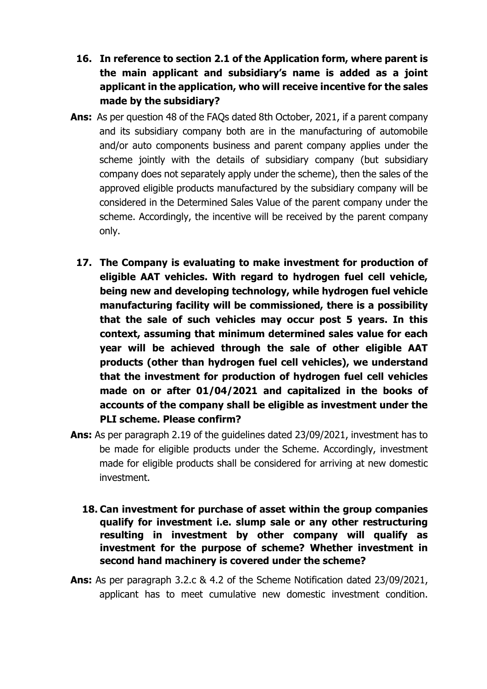- **16. In reference to section 2.1 of the Application form, where parent is the main applicant and subsidiary's name is added as a joint applicant in the application, who will receive incentive for the sales made by the subsidiary?**
- **Ans:** As per question 48 of the FAQs dated 8th October, 2021, if a parent company and its subsidiary company both are in the manufacturing of automobile and/or auto components business and parent company applies under the scheme jointly with the details of subsidiary company (but subsidiary company does not separately apply under the scheme), then the sales of the approved eligible products manufactured by the subsidiary company will be considered in the Determined Sales Value of the parent company under the scheme. Accordingly, the incentive will be received by the parent company only.
	- **17. The Company is evaluating to make investment for production of eligible AAT vehicles. With regard to hydrogen fuel cell vehicle, being new and developing technology, while hydrogen fuel vehicle manufacturing facility will be commissioned, there is a possibility that the sale of such vehicles may occur post 5 years. In this context, assuming that minimum determined sales value for each year will be achieved through the sale of other eligible AAT products (other than hydrogen fuel cell vehicles), we understand that the investment for production of hydrogen fuel cell vehicles made on or after 01/04/2021 and capitalized in the books of accounts of the company shall be eligible as investment under the PLI scheme. Please confirm?**
- **Ans:** As per paragraph 2.19 of the guidelines dated 23/09/2021, investment has to be made for eligible products under the Scheme. Accordingly, investment made for eligible products shall be considered for arriving at new domestic investment.
	- **18. Can investment for purchase of asset within the group companies qualify for investment i.e. slump sale or any other restructuring resulting in investment by other company will qualify as investment for the purpose of scheme? Whether investment in second hand machinery is covered under the scheme?**
- **Ans:** As per paragraph 3.2.c & 4.2 of the Scheme Notification dated 23/09/2021, applicant has to meet cumulative new domestic investment condition.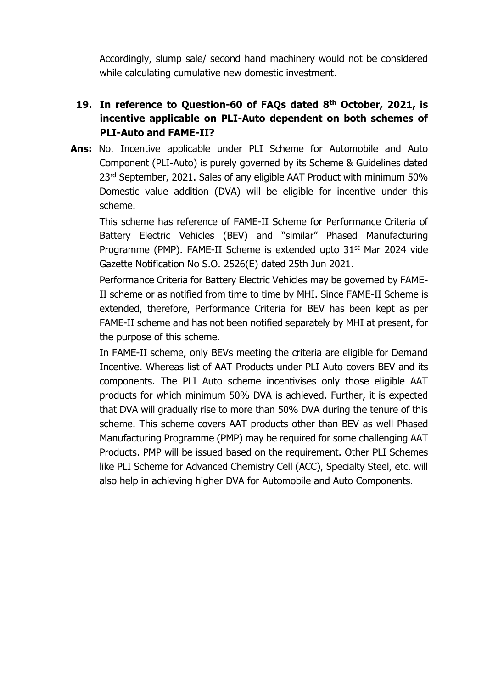Accordingly, slump sale/ second hand machinery would not be considered while calculating cumulative new domestic investment.

## **19. In reference to Question-60 of FAQs dated 8th October, 2021, is incentive applicable on PLI-Auto dependent on both schemes of PLI-Auto and FAME-II?**

**Ans:** No. Incentive applicable under PLI Scheme for Automobile and Auto Component (PLI-Auto) is purely governed by its Scheme & Guidelines dated 23<sup>rd</sup> September, 2021. Sales of any eligible AAT Product with minimum 50% Domestic value addition (DVA) will be eligible for incentive under this scheme.

This scheme has reference of FAME-II Scheme for Performance Criteria of Battery Electric Vehicles (BEV) and "similar" Phased Manufacturing Programme (PMP). FAME-II Scheme is extended upto 31<sup>st</sup> Mar 2024 vide Gazette Notification No S.O. 2526(E) dated 25th Jun 2021.

Performance Criteria for Battery Electric Vehicles may be governed by FAME-II scheme or as notified from time to time by MHI. Since FAME-II Scheme is extended, therefore, Performance Criteria for BEV has been kept as per FAME-II scheme and has not been notified separately by MHI at present, for the purpose of this scheme.

In FAME-II scheme, only BEVs meeting the criteria are eligible for Demand Incentive. Whereas list of AAT Products under PLI Auto covers BEV and its components. The PLI Auto scheme incentivises only those eligible AAT products for which minimum 50% DVA is achieved. Further, it is expected that DVA will gradually rise to more than 50% DVA during the tenure of this scheme. This scheme covers AAT products other than BEV as well Phased Manufacturing Programme (PMP) may be required for some challenging AAT Products. PMP will be issued based on the requirement. Other PLI Schemes like PLI Scheme for Advanced Chemistry Cell (ACC), Specialty Steel, etc. will also help in achieving higher DVA for Automobile and Auto Components.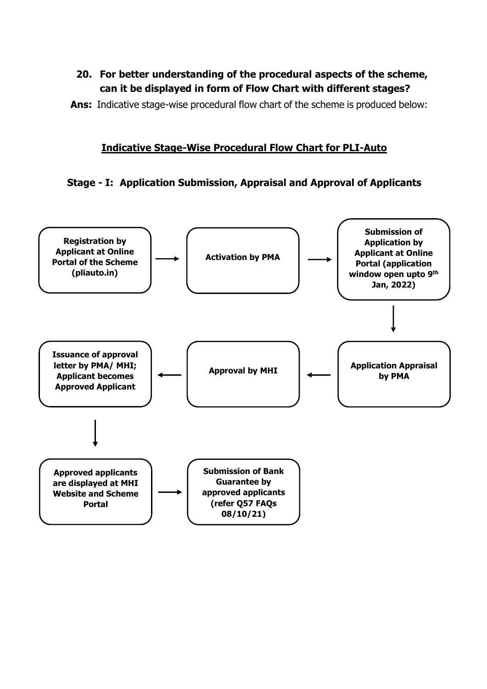## **20. For better understanding of the procedural aspects of the scheme, can it be displayed in form of Flow Chart with different stages?**

**Ans:** Indicative stage-wise procedural flow chart of the scheme is produced below:

### **Indicative Stage-Wise Procedural Flow Chart for PLI-Auto**

## **Stage - I: Application Submission, Appraisal and Approval of Applicants**

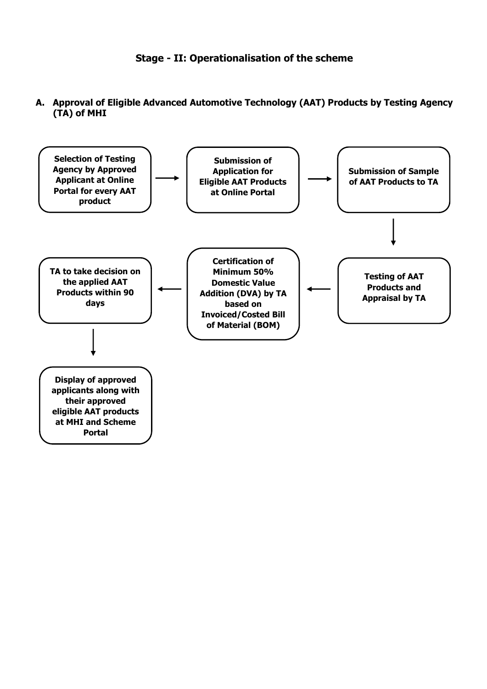

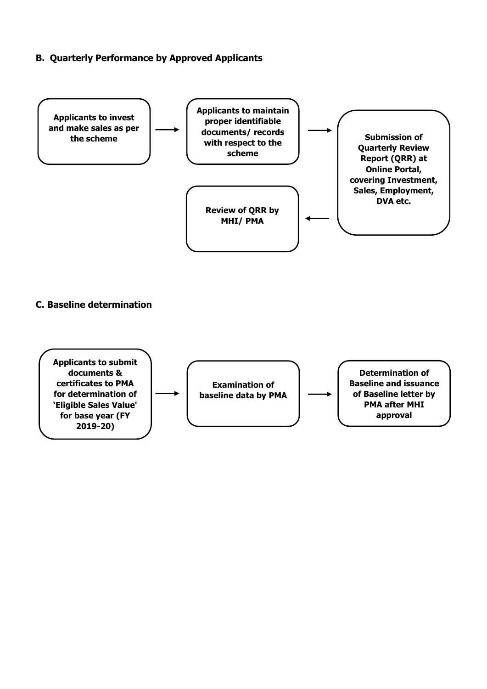#### **B. Quarterly Performance by Approved Applicants**



#### **C. Baseline determination**

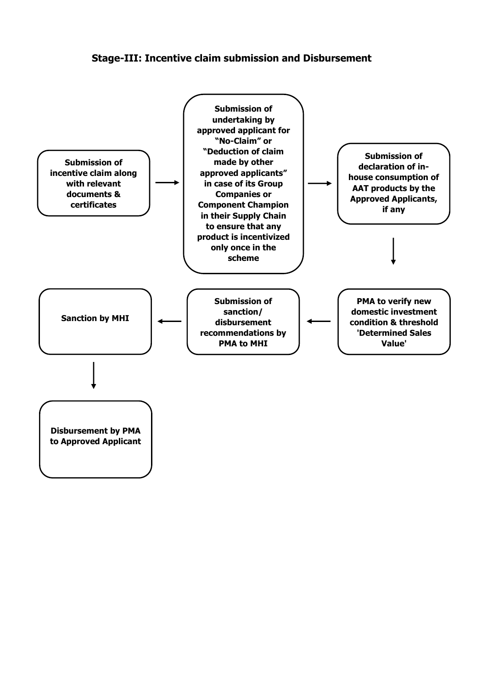#### **Stage-III: Incentive claim submission and Disbursement**

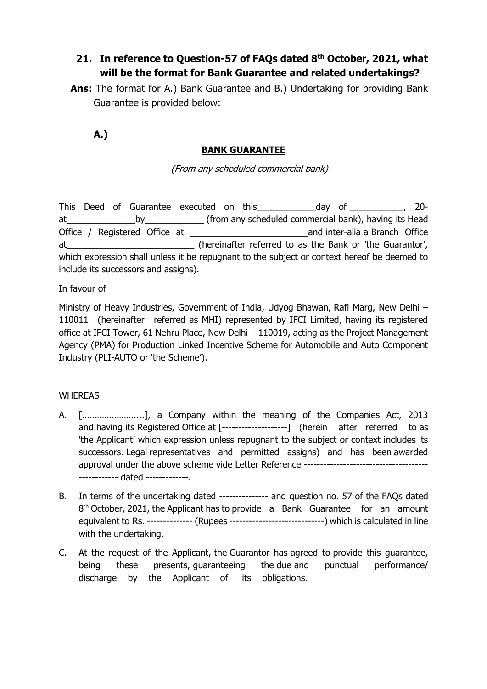# **21. In reference to Question-57 of FAQs dated 8th October, 2021, what will be the format for Bank Guarantee and related undertakings?**

**Ans:** The format for A.) Bank Guarantee and B.) Undertaking for providing Bank Guarantee is provided below:

**A.)**

## **BANK GUARANTEE**

(From any scheduled commercial bank)

This Deed of Guarantee executed on this\_\_\_\_\_\_\_\_\_\_\_\_day of \_\_\_\_\_\_\_\_\_\_\_, 20 at\_\_\_\_\_\_\_\_\_\_\_\_\_\_by\_\_\_\_\_\_\_\_\_\_\_\_ (from any scheduled commercial bank), having its Head Office / Registered Office at **a computer and inter-alia a Branch Office** at\_\_\_\_\_\_\_\_\_\_\_\_\_\_\_\_\_\_\_\_\_\_\_\_\_\_ (hereinafter referred to as the Bank or 'the Guarantor', which expression shall unless it be repugnant to the subject or context hereof be deemed to include its successors and assigns).

In favour of

Ministry of Heavy Industries, Government of India, Udyog Bhawan, Rafi Marg, New Delhi – 110011 (hereinafter referred as MHI) represented by IFCI Limited, having its registered office at IFCI Tower, 61 Nehru Place, New Delhi – 110019, acting as the Project Management Agency (PMA) for Production Linked Incentive Scheme for Automobile and Auto Component Industry (PLI-AUTO or 'the Scheme').

### **WHEREAS**

- A. […………………....], a Company within the meaning of the Companies Act, 2013 and having its Registered Office at [--------------------] (herein after referred to as 'the Applicant' which expression unless repugnant to the subject or context includes its successors. Legal representatives and permitted assigns) and has been awarded approval under the above scheme vide Letter Reference ------------------------- dated -------------.
- B. In terms of the undertaking dated --------------- and question no. 57 of the FAQs dated  $8<sup>th</sup>$  October, 2021, the Applicant has to provide a Bank Guarantee for an amount equivalent to Rs. -------------- (Rupees -----------------------------) which is calculated in line with the undertaking.
- C. At the request of the Applicant, the Guarantor has agreed to provide this guarantee, being these presents, guaranteeing the due and punctual performance/ discharge by the Applicant of its obligations.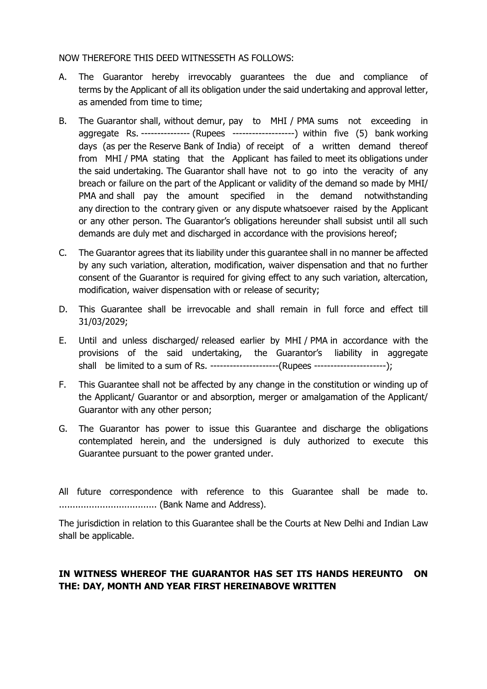#### NOW THEREFORE THIS DEED WITNESSETH AS FOLLOWS:

- A. The Guarantor hereby irrevocably guarantees the due and compliance of terms by the Applicant of all its obligation under the said undertaking and approval letter, as amended from time to time;
- B. The Guarantor shall, without demur, pay to MHI / PMA sums not exceeding in aggregate Rs. --------------- (Rupees -------------------) within five (5) bank working days (as per the Reserve Bank of India) of receipt of a written demand thereof from MHI / PMA stating that the Applicant has failed to meet its obligations under the said undertaking. The Guarantor shall have not to go into the veracity of any breach or failure on the part of the Applicant or validity of the demand so made by MHI/ PMA and shall pay the amount specified in the demand notwithstanding any direction to the contrary given or any dispute whatsoever raised by the Applicant or any other person. The Guarantor's obligations hereunder shall subsist until all such demands are duly met and discharged in accordance with the provisions hereof;
- C. The Guarantor agrees that its liability under this guarantee shall in no manner be affected by any such variation, alteration, modification, waiver dispensation and that no further consent of the Guarantor is required for giving effect to any such variation, altercation, modification, waiver dispensation with or release of security;
- D. This Guarantee shall be irrevocable and shall remain in full force and effect till 31/03/2029;
- E. Until and unless discharged/ released earlier by MHI / PMA in accordance with the provisions of the said undertaking, the Guarantor's liability in aggregate shall be limited to a sum of Rs. ---------------------(Rupees ----------------------);
- F. This Guarantee shall not be affected by any change in the constitution or winding up of the Applicant/ Guarantor or and absorption, merger or amalgamation of the Applicant/ Guarantor with any other person;
- G. The Guarantor has power to issue this Guarantee and discharge the obligations contemplated herein, and the undersigned is duly authorized to execute this Guarantee pursuant to the power granted under.

All future correspondence with reference to this Guarantee shall be made to. .................................... (Bank Name and Address).

The jurisdiction in relation to this Guarantee shall be the Courts at New Delhi and Indian Law shall be applicable.

#### **IN WITNESS WHEREOF THE GUARANTOR HAS SET ITS HANDS HEREUNTO ON THE: DAY, MONTH AND YEAR FIRST HEREINABOVE WRITTEN**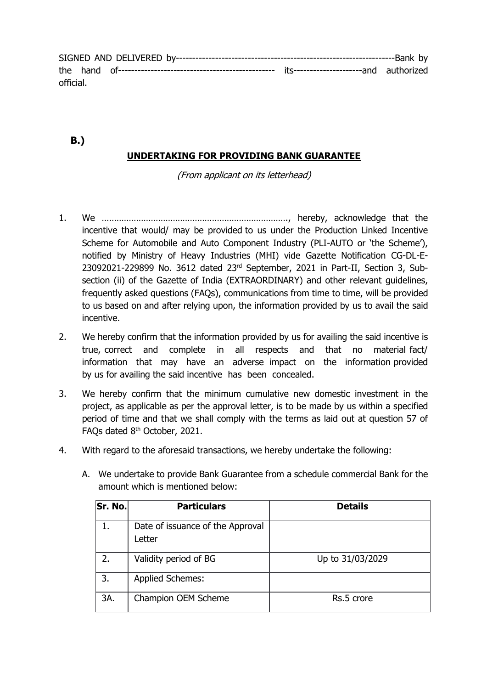SIGNED AND DELIVERED by-------------------------------------------------------------------Bank by the hand of------------------------------------------------ its---------------------and authorized official.

# **UNDERTAKING FOR PROVIDING BANK GUARANTEE**

**B.)**

(From applicant on its letterhead)

- 1. We …………………………………………………………………., hereby, acknowledge that the incentive that would/ may be provided to us under the Production Linked Incentive Scheme for Automobile and Auto Component Industry (PLI-AUTO or 'the Scheme'), notified by Ministry of Heavy Industries (MHI) vide Gazette Notification CG-DL-E-23092021-229899 No. 3612 dated 23rd September, 2021 in Part-II, Section 3, Subsection (ii) of the Gazette of India (EXTRAORDINARY) and other relevant quidelines, frequently asked questions (FAQs), communications from time to time, will be provided to us based on and after relying upon, the information provided by us to avail the said incentive.
- 2. We hereby confirm that the information provided by us for availing the said incentive is true, correct and complete in all respects and that no material fact/ information that may have an adverse impact on the information provided by us for availing the said incentive has been concealed.
- 3. We hereby confirm that the minimum cumulative new domestic investment in the project, as applicable as per the approval letter, is to be made by us within a specified period of time and that we shall comply with the terms as laid out at question 57 of FAQs dated 8<sup>th</sup> October, 2021.
- 4. With regard to the aforesaid transactions, we hereby undertake the following:

| Sr. No. | <b>Particulars</b>                         | <b>Details</b>   |
|---------|--------------------------------------------|------------------|
| 1.      | Date of issuance of the Approval<br>Letter |                  |
| 2.      | Validity period of BG                      | Up to 31/03/2029 |
| 3.      | <b>Applied Schemes:</b>                    |                  |
| 3A.     | Champion OEM Scheme                        | Rs.5 crore       |

A. We undertake to provide Bank Guarantee from a schedule commercial Bank for the amount which is mentioned below: